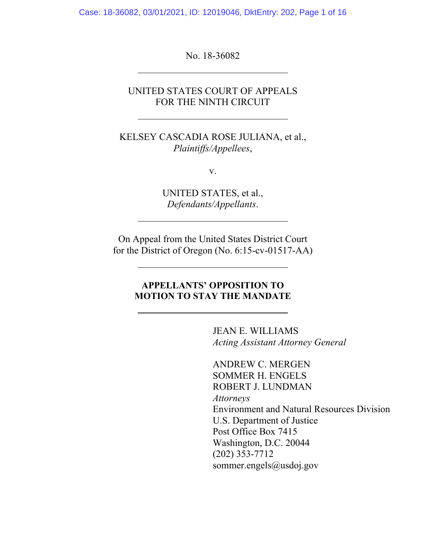Case: 18-36082, 03/01/2021, ID: 12019046, DktEntry: 202, Page 1 of 16

No. 18-36082

l,

 $\overline{a}$ 

## UNITED STATES COURT OF APPEALS FOR THE NINTH CIRCUIT

KELSEY CASCADIA ROSE JULIANA, et al., *Plaintiffs/Appellees*,

v.

UNITED STATES, et al., *Defendants/Appellants*.

On Appeal from the United States District Court for the District of Oregon (No. 6:15-cv-01517-AA)

## **APPELLANTS' OPPOSITION TO MOTION TO STAY THE MANDATE**

JEAN E. WILLIAMS *Acting Assistant Attorney General*

ANDREW C. MERGEN SOMMER H. ENGELS ROBERT J. LUNDMAN *Attorneys*  Environment and Natural Resources Division U.S. Department of Justice Post Office Box 7415 Washington, D.C. 20044 (202) 353-7712 sommer.engels@usdoj.gov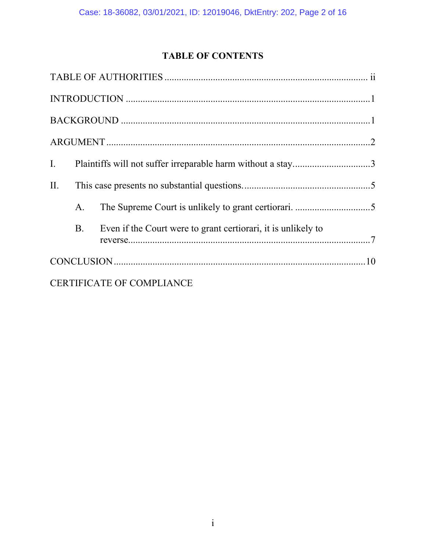# **TABLE OF CONTENTS**

| I.  |                |                                                               |  |  |  |  |
|-----|----------------|---------------------------------------------------------------|--|--|--|--|
| II. |                |                                                               |  |  |  |  |
|     | A <sub>1</sub> |                                                               |  |  |  |  |
|     | B.             | Even if the Court were to grant certiorari, it is unlikely to |  |  |  |  |
|     |                |                                                               |  |  |  |  |
|     |                | <b>CERTIFICATE OF COMPLIANCE</b>                              |  |  |  |  |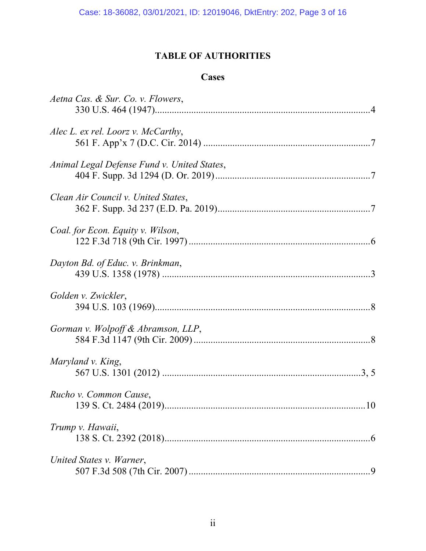## **TABLE OF AUTHORITIES**

## **Cases**

| Aetna Cas. & Sur. Co. v. Flowers,           |
|---------------------------------------------|
| Alec L. ex rel. Loorz v. McCarthy,          |
| Animal Legal Defense Fund v. United States, |
| Clean Air Council v. United States,         |
| Coal. for Econ. Equity v. Wilson,           |
| Dayton Bd. of Educ. v. Brinkman,            |
| Golden v. Zwickler,                         |
| Gorman v. Wolpoff & Abramson, LLP,          |
| Maryland v. King,                           |
| Rucho v. Common Cause,<br>.10               |
| Trump v. Hawaii,                            |
| United States v. Warner,                    |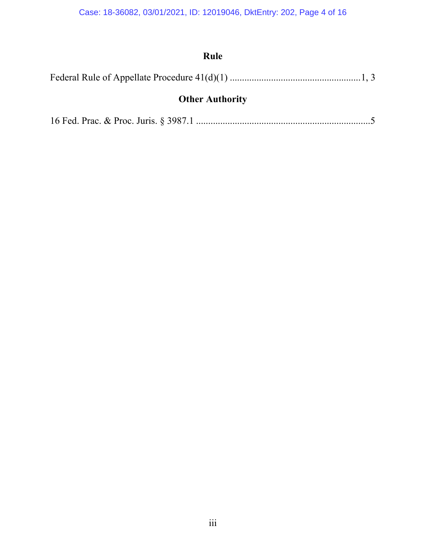# **Rule**

|--|--|--|

# **Other Authority**

|--|--|--|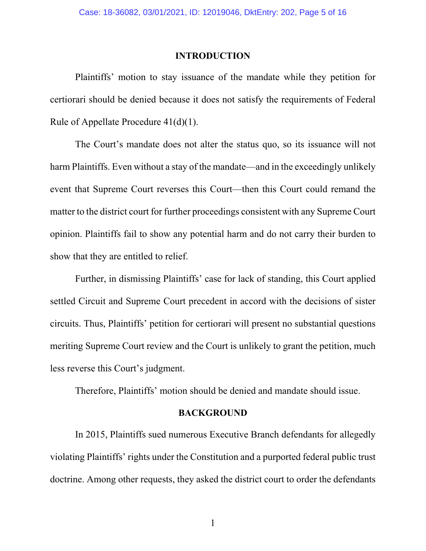#### **INTRODUCTION**

 Plaintiffs' motion to stay issuance of the mandate while they petition for certiorari should be denied because it does not satisfy the requirements of Federal Rule of Appellate Procedure 41(d)(1).

The Court's mandate does not alter the status quo, so its issuance will not harm Plaintiffs. Even without a stay of the mandate—and in the exceedingly unlikely event that Supreme Court reverses this Court—then this Court could remand the matter to the district court for further proceedings consistent with any Supreme Court opinion. Plaintiffs fail to show any potential harm and do not carry their burden to show that they are entitled to relief.

Further, in dismissing Plaintiffs' case for lack of standing, this Court applied settled Circuit and Supreme Court precedent in accord with the decisions of sister circuits. Thus, Plaintiffs' petition for certiorari will present no substantial questions meriting Supreme Court review and the Court is unlikely to grant the petition, much less reverse this Court's judgment.

Therefore, Plaintiffs' motion should be denied and mandate should issue.

#### **BACKGROUND**

In 2015, Plaintiffs sued numerous Executive Branch defendants for allegedly violating Plaintiffs' rights under the Constitution and a purported federal public trust doctrine. Among other requests, they asked the district court to order the defendants

1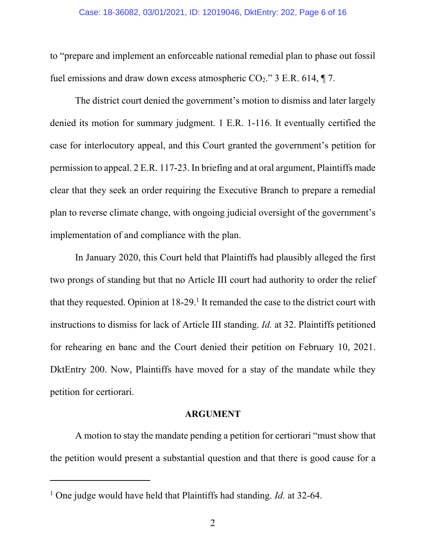to "prepare and implement an enforceable national remedial plan to phase out fossil fuel emissions and draw down excess atmospheric  $CO_2$ ." 3 E.R. 614,  $\P$  7.

 The district court denied the government's motion to dismiss and later largely denied its motion for summary judgment. 1 E.R. 1-116. It eventually certified the case for interlocutory appeal, and this Court granted the government's petition for permission to appeal. 2 E.R. 117-23. In briefing and at oral argument, Plaintiffs made clear that they seek an order requiring the Executive Branch to prepare a remedial plan to reverse climate change, with ongoing judicial oversight of the government's implementation of and compliance with the plan.

In January 2020, this Court held that Plaintiffs had plausibly alleged the first two prongs of standing but that no Article III court had authority to order the relief that they requested. Opinion at  $18-29$ <sup>1</sup> It remanded the case to the district court with instructions to dismiss for lack of Article III standing. *Id.* at 32. Plaintiffs petitioned for rehearing en banc and the Court denied their petition on February 10, 2021. DktEntry 200. Now, Plaintiffs have moved for a stay of the mandate while they petition for certiorari.

#### **ARGUMENT**

A motion to stay the mandate pending a petition for certiorari "must show that the petition would present a substantial question and that there is good cause for a

 $\overline{a}$ 

<sup>&</sup>lt;sup>1</sup> One judge would have held that Plaintiffs had standing. *Id.* at 32-64.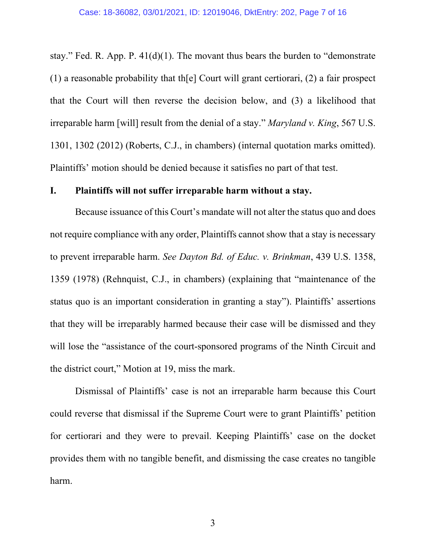stay." Fed. R. App. P. 41(d)(1). The movant thus bears the burden to "demonstrate (1) a reasonable probability that th $[e]$  Court will grant certiorari, (2) a fair prospect that the Court will then reverse the decision below, and (3) a likelihood that irreparable harm [will] result from the denial of a stay." *Maryland v. King*, 567 U.S. 1301, 1302 (2012) (Roberts, C.J., in chambers) (internal quotation marks omitted). Plaintiffs' motion should be denied because it satisfies no part of that test.

## **I. Plaintiffs will not suffer irreparable harm without a stay.**

Because issuance of this Court's mandate will not alter the status quo and does not require compliance with any order, Plaintiffs cannot show that a stay is necessary to prevent irreparable harm. *See Dayton Bd. of Educ. v. Brinkman*, 439 U.S. 1358, 1359 (1978) (Rehnquist, C.J., in chambers) (explaining that "maintenance of the status quo is an important consideration in granting a stay"). Plaintiffs' assertions that they will be irreparably harmed because their case will be dismissed and they will lose the "assistance of the court-sponsored programs of the Ninth Circuit and the district court," Motion at 19, miss the mark.

Dismissal of Plaintiffs' case is not an irreparable harm because this Court could reverse that dismissal if the Supreme Court were to grant Plaintiffs' petition for certiorari and they were to prevail. Keeping Plaintiffs' case on the docket provides them with no tangible benefit, and dismissing the case creates no tangible harm.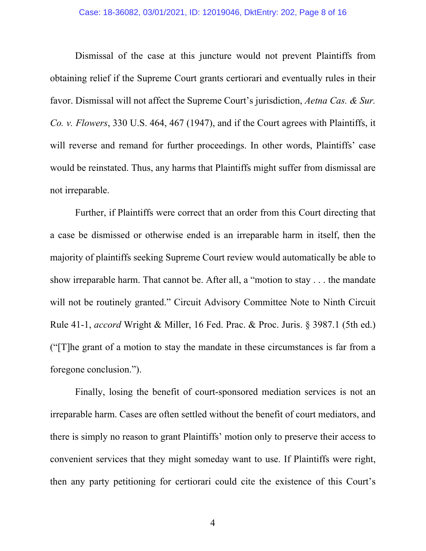#### Case: 18-36082, 03/01/2021, ID: 12019046, DktEntry: 202, Page 8 of 16

Dismissal of the case at this juncture would not prevent Plaintiffs from obtaining relief if the Supreme Court grants certiorari and eventually rules in their favor. Dismissal will not affect the Supreme Court's jurisdiction, *Aetna Cas. & Sur. Co. v. Flowers*, 330 U.S. 464, 467 (1947), and if the Court agrees with Plaintiffs, it will reverse and remand for further proceedings. In other words, Plaintiffs' case would be reinstated. Thus, any harms that Plaintiffs might suffer from dismissal are not irreparable.

Further, if Plaintiffs were correct that an order from this Court directing that a case be dismissed or otherwise ended is an irreparable harm in itself, then the majority of plaintiffs seeking Supreme Court review would automatically be able to show irreparable harm. That cannot be. After all, a "motion to stay . . . the mandate will not be routinely granted." Circuit Advisory Committee Note to Ninth Circuit Rule 41-1, *accord* Wright & Miller, 16 Fed. Prac. & Proc. Juris. § 3987.1 (5th ed.) ("[T]he grant of a motion to stay the mandate in these circumstances is far from a foregone conclusion.").

Finally, losing the benefit of court-sponsored mediation services is not an irreparable harm. Cases are often settled without the benefit of court mediators, and there is simply no reason to grant Plaintiffs' motion only to preserve their access to convenient services that they might someday want to use. If Plaintiffs were right, then any party petitioning for certiorari could cite the existence of this Court's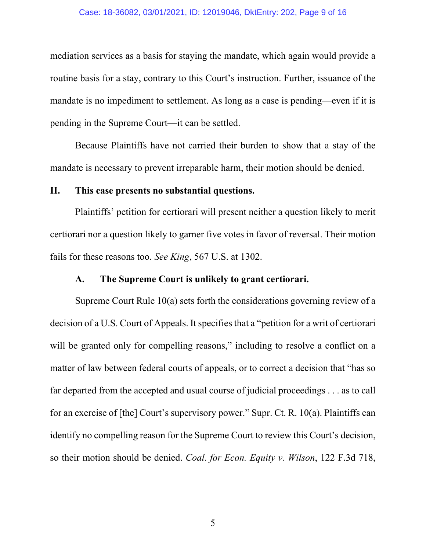#### Case: 18-36082, 03/01/2021, ID: 12019046, DktEntry: 202, Page 9 of 16

mediation services as a basis for staying the mandate, which again would provide a routine basis for a stay, contrary to this Court's instruction. Further, issuance of the mandate is no impediment to settlement. As long as a case is pending—even if it is pending in the Supreme Court—it can be settled.

Because Plaintiffs have not carried their burden to show that a stay of the mandate is necessary to prevent irreparable harm, their motion should be denied.

## **II. This case presents no substantial questions.**

Plaintiffs' petition for certiorari will present neither a question likely to merit certiorari nor a question likely to garner five votes in favor of reversal. Their motion fails for these reasons too. *See King*, 567 U.S. at 1302.

## **A. The Supreme Court is unlikely to grant certiorari.**

Supreme Court Rule 10(a) sets forth the considerations governing review of a decision of a U.S. Court of Appeals. It specifies that a "petition for a writ of certiorari will be granted only for compelling reasons," including to resolve a conflict on a matter of law between federal courts of appeals, or to correct a decision that "has so far departed from the accepted and usual course of judicial proceedings . . . as to call for an exercise of [the] Court's supervisory power." Supr. Ct. R. 10(a). Plaintiffs can identify no compelling reason for the Supreme Court to review this Court's decision, so their motion should be denied. *Coal. for Econ. Equity v. Wilson*, 122 F.3d 718,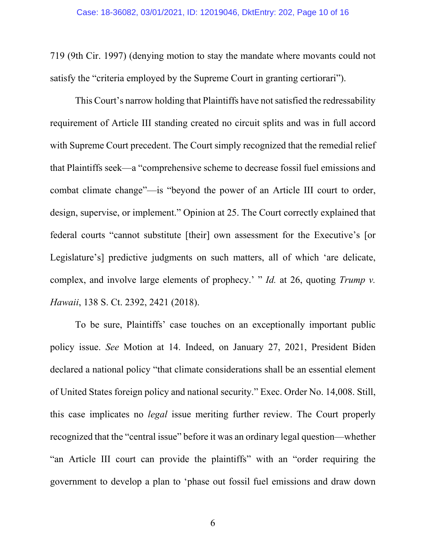719 (9th Cir. 1997) (denying motion to stay the mandate where movants could not satisfy the "criteria employed by the Supreme Court in granting certiorari").

This Court's narrow holding that Plaintiffs have not satisfied the redressability requirement of Article III standing created no circuit splits and was in full accord with Supreme Court precedent. The Court simply recognized that the remedial relief that Plaintiffs seek—a "comprehensive scheme to decrease fossil fuel emissions and combat climate change"—is "beyond the power of an Article III court to order, design, supervise, or implement." Opinion at 25. The Court correctly explained that federal courts "cannot substitute [their] own assessment for the Executive's [or Legislature's] predictive judgments on such matters, all of which 'are delicate, complex, and involve large elements of prophecy.' " *Id.* at 26, quoting *Trump v. Hawaii*, 138 S. Ct. 2392, 2421 (2018).

To be sure, Plaintiffs' case touches on an exceptionally important public policy issue. *See* Motion at 14. Indeed, on January 27, 2021, President Biden declared a national policy "that climate considerations shall be an essential element of United States foreign policy and national security." Exec. Order No. 14,008. Still, this case implicates no *legal* issue meriting further review. The Court properly recognized that the "central issue" before it was an ordinary legal question—whether "an Article III court can provide the plaintiffs" with an "order requiring the government to develop a plan to 'phase out fossil fuel emissions and draw down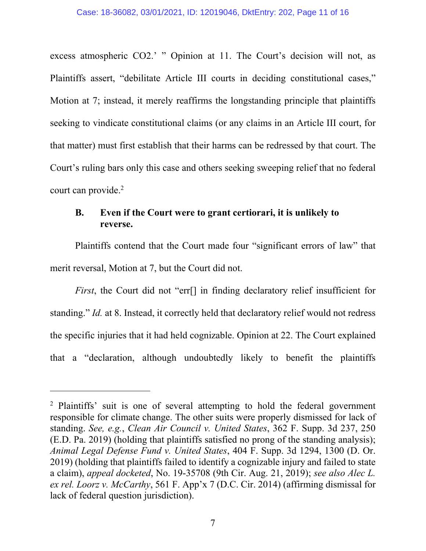excess atmospheric CO2.' " Opinion at 11. The Court's decision will not, as Plaintiffs assert, "debilitate Article III courts in deciding constitutional cases," Motion at 7; instead, it merely reaffirms the longstanding principle that plaintiffs seeking to vindicate constitutional claims (or any claims in an Article III court, for that matter) must first establish that their harms can be redressed by that court. The Court's ruling bars only this case and others seeking sweeping relief that no federal court can provide.<sup>2</sup>

## **B. Even if the Court were to grant certiorari, it is unlikely to reverse.**

Plaintiffs contend that the Court made four "significant errors of law" that merit reversal, Motion at 7, but the Court did not.

*First*, the Court did not "err<sup>[]</sup> in finding declaratory relief insufficient for standing." *Id.* at 8. Instead, it correctly held that declaratory relief would not redress the specific injuries that it had held cognizable. Opinion at 22. The Court explained that a "declaration, although undoubtedly likely to benefit the plaintiffs

 $\overline{a}$ 

<sup>&</sup>lt;sup>2</sup> Plaintiffs' suit is one of several attempting to hold the federal government responsible for climate change. The other suits were properly dismissed for lack of standing. *See, e.g.*, *Clean Air Council v. United States*, 362 F. Supp. 3d 237, 250 (E.D. Pa. 2019) (holding that plaintiffs satisfied no prong of the standing analysis); *Animal Legal Defense Fund v. United States*, 404 F. Supp. 3d 1294, 1300 (D. Or. 2019) (holding that plaintiffs failed to identify a cognizable injury and failed to state a claim), *appeal docketed*, No. 19-35708 (9th Cir. Aug. 21, 2019); *see also Alec L. ex rel. Loorz v. McCarthy*, 561 F. App'x 7 (D.C. Cir. 2014) (affirming dismissal for lack of federal question jurisdiction).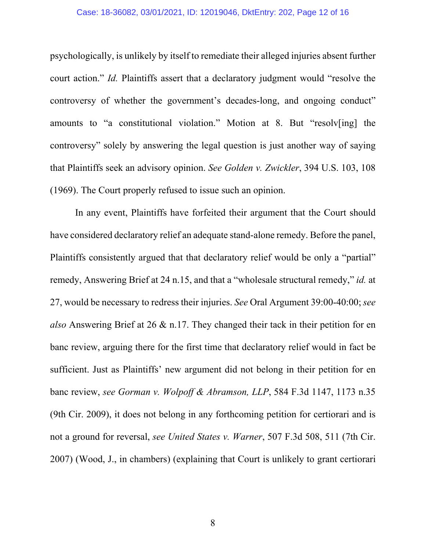#### Case: 18-36082, 03/01/2021, ID: 12019046, DktEntry: 202, Page 12 of 16

psychologically, is unlikely by itself to remediate their alleged injuries absent further court action." *Id.* Plaintiffs assert that a declaratory judgment would "resolve the controversy of whether the government's decades-long, and ongoing conduct" amounts to "a constitutional violation." Motion at 8. But "resolv[ing] the controversy" solely by answering the legal question is just another way of saying that Plaintiffs seek an advisory opinion. *See Golden v. Zwickler*, 394 U.S. 103, 108 (1969). The Court properly refused to issue such an opinion.

In any event, Plaintiffs have forfeited their argument that the Court should have considered declaratory relief an adequate stand-alone remedy. Before the panel, Plaintiffs consistently argued that that declaratory relief would be only a "partial" remedy, Answering Brief at 24 n.15, and that a "wholesale structural remedy," *id.* at 27, would be necessary to redress their injuries. *See* Oral Argument 39:00-40:00; *see also* Answering Brief at 26 & n.17. They changed their tack in their petition for en banc review, arguing there for the first time that declaratory relief would in fact be sufficient. Just as Plaintiffs' new argument did not belong in their petition for en banc review, *see Gorman v. Wolpoff & Abramson, LLP*, 584 F.3d 1147, 1173 n.35 (9th Cir. 2009), it does not belong in any forthcoming petition for certiorari and is not a ground for reversal, *see United States v. Warner*, 507 F.3d 508, 511 (7th Cir. 2007) (Wood, J., in chambers) (explaining that Court is unlikely to grant certiorari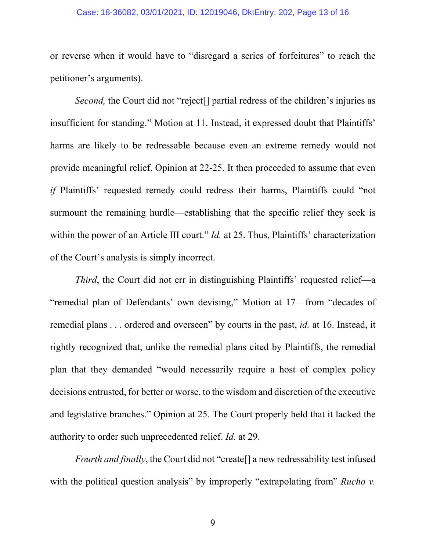#### Case: 18-36082, 03/01/2021, ID: 12019046, DktEntry: 202, Page 13 of 16

or reverse when it would have to "disregard a series of forfeitures" to reach the petitioner's arguments).

*Second*, the Court did not "reject<sup>[]</sup> partial redress of the children's injuries as insufficient for standing." Motion at 11. Instead, it expressed doubt that Plaintiffs' harms are likely to be redressable because even an extreme remedy would not provide meaningful relief. Opinion at 22-25. It then proceeded to assume that even *if* Plaintiffs' requested remedy could redress their harms, Plaintiffs could "not surmount the remaining hurdle—establishing that the specific relief they seek is within the power of an Article III court." *Id.* at 25. Thus, Plaintiffs' characterization of the Court's analysis is simply incorrect.

*Third*, the Court did not err in distinguishing Plaintiffs' requested relief—a "remedial plan of Defendants' own devising," Motion at 17—from "decades of remedial plans . . . ordered and overseen" by courts in the past, *id.* at 16. Instead, it rightly recognized that, unlike the remedial plans cited by Plaintiffs, the remedial plan that they demanded "would necessarily require a host of complex policy decisions entrusted, for better or worse, to the wisdom and discretion of the executive and legislative branches." Opinion at 25. The Court properly held that it lacked the authority to order such unprecedented relief. *Id.* at 29.

*Fourth and finally*, the Court did not "create<sup>[]</sup> a new redressability test infused with the political question analysis" by improperly "extrapolating from" *Rucho v.*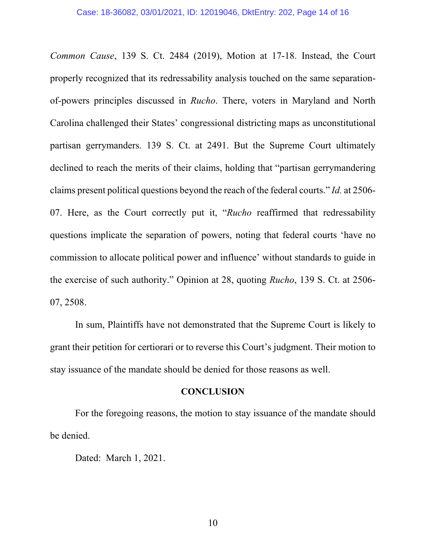*Common Cause*, 139 S. Ct. 2484 (2019), Motion at 17-18. Instead, the Court properly recognized that its redressability analysis touched on the same separationof-powers principles discussed in *Rucho*. There, voters in Maryland and North Carolina challenged their States' congressional districting maps as unconstitutional partisan gerrymanders. 139 S. Ct. at 2491. But the Supreme Court ultimately declined to reach the merits of their claims, holding that "partisan gerrymandering claims present political questions beyond the reach of the federal courts." *Id.* at 2506- 07. Here, as the Court correctly put it, "*Rucho* reaffirmed that redressability questions implicate the separation of powers, noting that federal courts 'have no commission to allocate political power and influence' without standards to guide in the exercise of such authority." Opinion at 28, quoting *Rucho*, 139 S. Ct. at 2506- 07, 2508.

In sum, Plaintiffs have not demonstrated that the Supreme Court is likely to grant their petition for certiorari or to reverse this Court's judgment. Their motion to stay issuance of the mandate should be denied for those reasons as well.

### **CONCLUSION**

 For the foregoing reasons, the motion to stay issuance of the mandate should be denied.

Dated: March 1, 2021.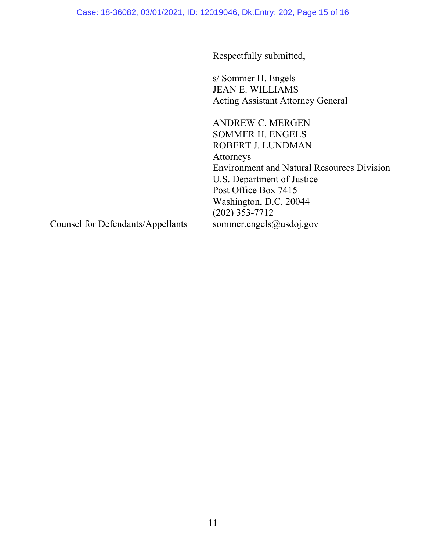Case: 18-36082, 03/01/2021, ID: 12019046, DktEntry: 202, Page 15 of 16

Respectfully submitted,

s/ Sommer H. Engels JEAN E. WILLIAMS Acting Assistant Attorney General

ANDREW C. MERGEN SOMMER H. ENGELS ROBERT J. LUNDMAN Attorneys Environment and Natural Resources Division U.S. Department of Justice Post Office Box 7415 Washington, D.C. 20044 (202) 353-7712 sommer.engels@usdoj.gov

Counsel for Defendants/Appellants